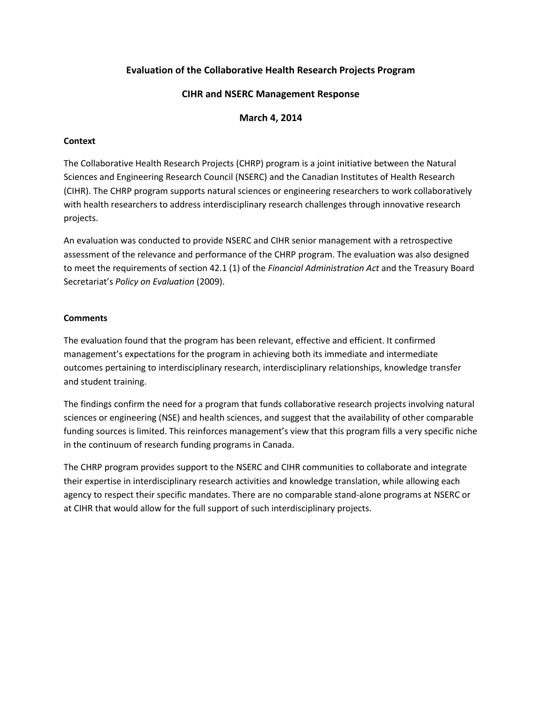# **Evaluation of the Collaborative Health Research Projects Program**

# **CIHR and NSERC Management Response**

#### **March 4, 2014**

### **Context**

The Collaborative Health Research Projects (CHRP) program is a joint initiative between the Natural Sciences and Engineering Research Council (NSERC) and the Canadian Institutes of Health Research (CIHR). The CHRP program supports natural sciences or engineering researchers to work collaboratively with health researchers to address interdisciplinary research challenges through innovative research projects.

An evaluation was conducted to provide NSERC and CIHR senior management with a retrospective assessment of the relevance and performance of the CHRP program. The evaluation was also designed to meet the requirements of section 42.1 (1) of the *Financial Administration Act* and the Treasury Board Secretariat's *Policy on Evaluation* (2009).

## **Comments**

The evaluation found that the program has been relevant, effective and efficient. It confirmed management's expectations for the program in achieving both its immediate and intermediate outcomes pertaining to interdisciplinary research, interdisciplinary relationships, knowledge transfer and student training.

The findings confirm the need for a program that funds collaborative research projects involving natural sciences or engineering (NSE) and health sciences, and suggest that the availability of other comparable funding sources is limited. This reinforces management's view that this program fills a very specific niche in the continuum of research funding programs in Canada.

The CHRP program provides support to the NSERC and CIHR communities to collaborate and integrate their expertise in interdisciplinary research activities and knowledge translation, while allowing each agency to respect their specific mandates. There are no comparable stand-alone programs at NSERC or at CIHR that would allow for the full support of such interdisciplinary projects.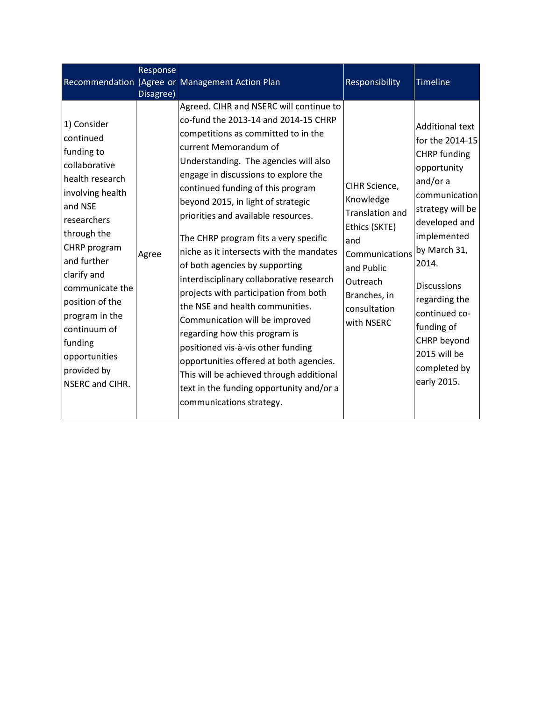|                                                                                                                                                                                                                                                                                                                             | Response<br>Disagree) | Recommendation (Agree or Management Action Plan                                                                                                                                                                                                                                                                                                                                                                                                                                                                                                                                                                                                                                                                                                                                                                                                                           | Responsibility                                                                                                                                                         | Timeline                                                                                                                                                                                                                                                                                                                      |
|-----------------------------------------------------------------------------------------------------------------------------------------------------------------------------------------------------------------------------------------------------------------------------------------------------------------------------|-----------------------|---------------------------------------------------------------------------------------------------------------------------------------------------------------------------------------------------------------------------------------------------------------------------------------------------------------------------------------------------------------------------------------------------------------------------------------------------------------------------------------------------------------------------------------------------------------------------------------------------------------------------------------------------------------------------------------------------------------------------------------------------------------------------------------------------------------------------------------------------------------------------|------------------------------------------------------------------------------------------------------------------------------------------------------------------------|-------------------------------------------------------------------------------------------------------------------------------------------------------------------------------------------------------------------------------------------------------------------------------------------------------------------------------|
| 1) Consider<br>continued<br>funding to<br>collaborative<br>health research<br>involving health<br>and NSE<br>researchers<br>through the<br>CHRP program<br>and further<br>clarify and<br>communicate the<br>position of the<br>program in the<br>continuum of<br>funding<br>opportunities<br>provided by<br>NSERC and CIHR. | Agree                 | Agreed. CIHR and NSERC will continue to<br>co-fund the 2013-14 and 2014-15 CHRP<br>competitions as committed to in the<br>current Memorandum of<br>Understanding. The agencies will also<br>engage in discussions to explore the<br>continued funding of this program<br>beyond 2015, in light of strategic<br>priorities and available resources.<br>The CHRP program fits a very specific<br>niche as it intersects with the mandates<br>of both agencies by supporting<br>interdisciplinary collaborative research<br>projects with participation from both<br>the NSE and health communities.<br>Communication will be improved<br>regarding how this program is<br>positioned vis-à-vis other funding<br>opportunities offered at both agencies.<br>This will be achieved through additional<br>text in the funding opportunity and/or a<br>communications strategy. | CIHR Science,<br>Knowledge<br><b>Translation and</b><br>Ethics (SKTE)<br>and<br>Communications<br>and Public<br>Outreach<br>Branches, in<br>consultation<br>with NSERC | <b>Additional text</b><br>for the 2014-15<br><b>CHRP</b> funding<br>opportunity<br>and/or a<br>communication<br>strategy will be<br>developed and<br>implemented<br>by March 31,<br>2014.<br><b>Discussions</b><br>regarding the<br>continued co-<br>funding of<br>CHRP beyond<br>2015 will be<br>completed by<br>early 2015. |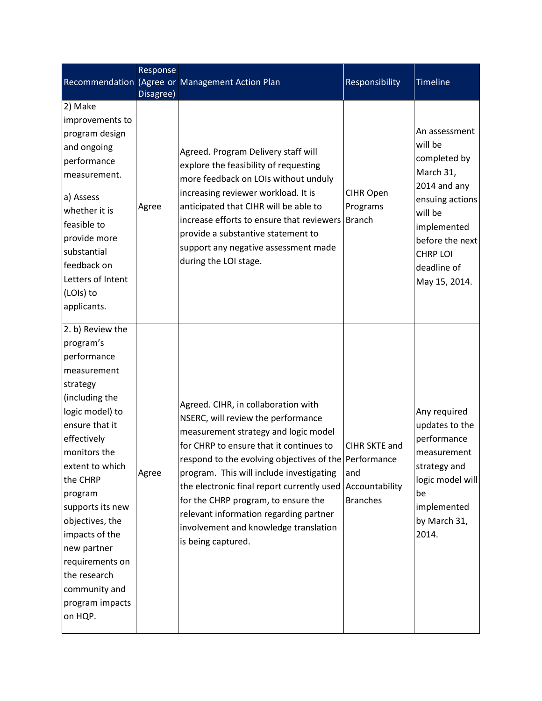|                                                                                                                                                                                                                                                                                                                                                                   | Response  |                                                                                                                                                                                                                                                                                                                                                                                                                                                                                |                                         |                                                                                                                                                                                          |
|-------------------------------------------------------------------------------------------------------------------------------------------------------------------------------------------------------------------------------------------------------------------------------------------------------------------------------------------------------------------|-----------|--------------------------------------------------------------------------------------------------------------------------------------------------------------------------------------------------------------------------------------------------------------------------------------------------------------------------------------------------------------------------------------------------------------------------------------------------------------------------------|-----------------------------------------|------------------------------------------------------------------------------------------------------------------------------------------------------------------------------------------|
|                                                                                                                                                                                                                                                                                                                                                                   |           | Recommendation (Agree or Management Action Plan                                                                                                                                                                                                                                                                                                                                                                                                                                | Responsibility                          | Timeline                                                                                                                                                                                 |
| 2) Make                                                                                                                                                                                                                                                                                                                                                           | Disagree) |                                                                                                                                                                                                                                                                                                                                                                                                                                                                                |                                         |                                                                                                                                                                                          |
| improvements to<br>program design<br>and ongoing<br>performance<br>measurement.<br>a) Assess<br>whether it is<br>feasible to<br>provide more<br>substantial<br>feedback on<br>Letters of Intent<br>(LOIs) to<br>applicants.                                                                                                                                       | Agree     | Agreed. Program Delivery staff will<br>explore the feasibility of requesting<br>more feedback on LOIs without unduly<br>increasing reviewer workload. It is<br>anticipated that CIHR will be able to<br>increase efforts to ensure that reviewers<br>provide a substantive statement to<br>support any negative assessment made<br>during the LOI stage.                                                                                                                       | CIHR Open<br>Programs<br><b>Branch</b>  | An assessment<br>will be<br>completed by<br>March 31,<br>2014 and any<br>ensuing actions<br>will be<br>implemented<br>before the next<br><b>CHRP LOI</b><br>deadline of<br>May 15, 2014. |
| 2. b) Review the<br>program's<br>performance<br>measurement<br>strategy<br>(including the<br>logic model) to<br>ensure that it<br>effectively<br>monitors the<br>extent to which<br>the CHRP<br>program<br>supports its new<br>objectives, the<br>impacts of the<br>new partner<br>requirements on<br>the research<br>community and<br>program impacts<br>on HQP. | Agree     | Agreed. CIHR, in collaboration with<br>NSERC, will review the performance<br>measurement strategy and logic model<br>for CHRP to ensure that it continues to<br>respond to the evolving objectives of the Performance<br>program. This will include investigating<br>the electronic final report currently used Accountability<br>for the CHRP program, to ensure the<br>relevant information regarding partner<br>involvement and knowledge translation<br>is being captured. | CIHR SKTE and<br>and<br><b>Branches</b> | Any required<br>updates to the<br>performance<br>measurement<br>strategy and<br>logic model will<br>be<br>implemented<br>by March 31,<br>2014.                                           |